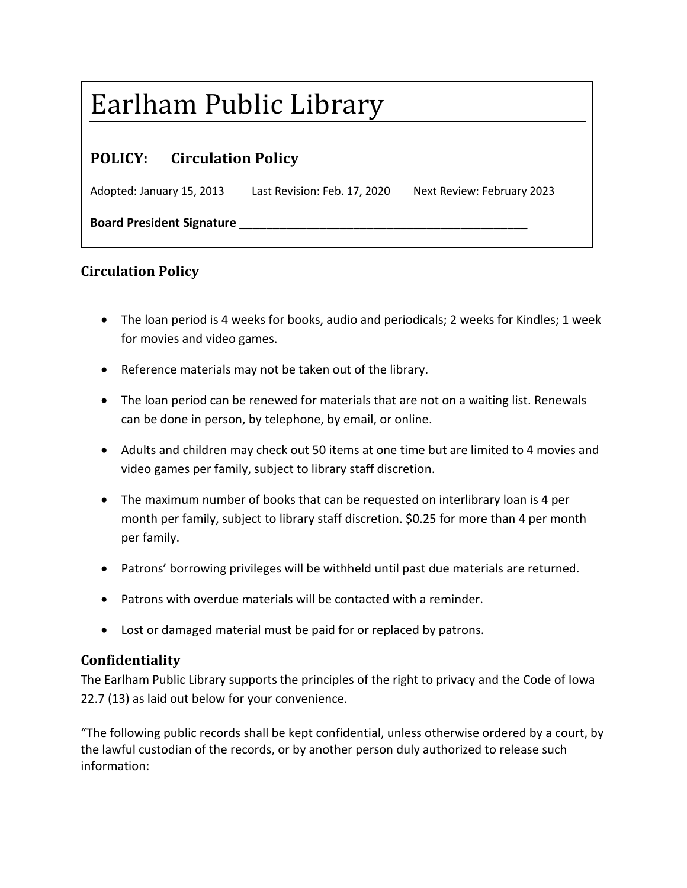## Earlham Public Library

## **POLICY: Circulation Policy**

Adopted: January 15, 2013 Last Revision: Feb. 17, 2020 Next Review: February 2023

**Board President Signature \_\_\_\_\_\_\_\_\_\_\_\_\_\_\_\_\_\_\_\_\_\_\_\_\_\_\_\_\_\_\_\_\_\_\_\_\_\_\_\_\_\_\_**

## **Circulation Policy**

- The loan period is 4 weeks for books, audio and periodicals; 2 weeks for Kindles; 1 week for movies and video games.
- Reference materials may not be taken out of the library.
- The loan period can be renewed for materials that are not on a waiting list. Renewals can be done in person, by telephone, by email, or online.
- Adults and children may check out 50 items at one time but are limited to 4 movies and video games per family, subject to library staff discretion.
- The maximum number of books that can be requested on interlibrary loan is 4 per month per family, subject to library staff discretion. \$0.25 for more than 4 per month per family.
- Patrons' borrowing privileges will be withheld until past due materials are returned.
- Patrons with overdue materials will be contacted with a reminder.
- Lost or damaged material must be paid for or replaced by patrons.

## **Confidentiality**

The Earlham Public Library supports the principles of the right to privacy and the Code of Iowa 22.7 (13) as laid out below for your convenience.

"The following public records shall be kept confidential, unless otherwise ordered by a court, by the lawful custodian of the records, or by another person duly authorized to release such information: